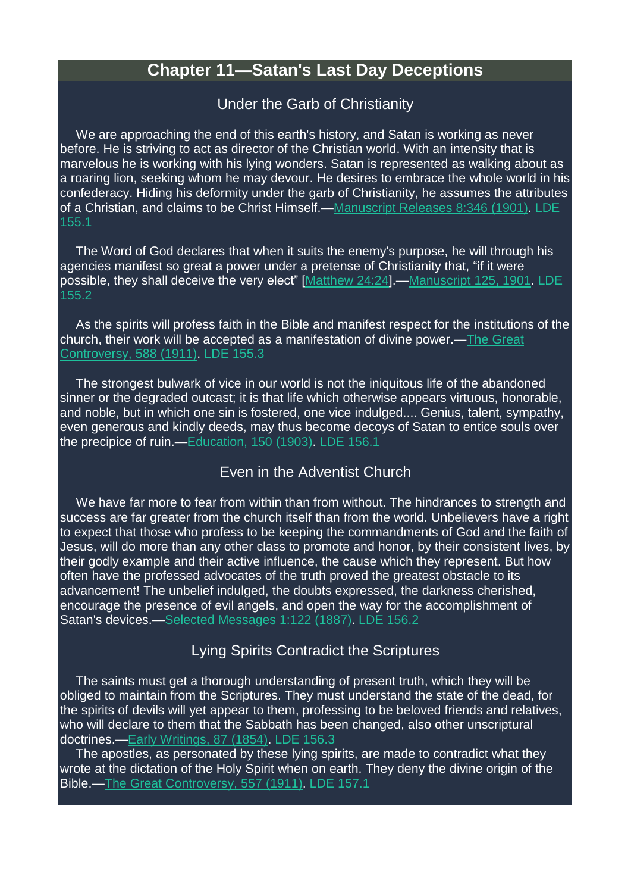# **Chapter 11—Satan's Last Day Deceptions**

# Under the Garb of Christianity

We are approaching the end of this earth's history, and Satan is working as never before. He is striving to act as director of the Christian world. With an intensity that is marvelous he is working with his lying wonders. Satan is represented as walking about as a roaring lion, seeking whom he may devour. He desires to embrace the whole world in his confederacy. Hiding his deformity under the garb of Christianity, he assumes the attributes of a Christian, and claims to be Christ Himself.[—Manuscript](https://m.egwwritings.org/en/book/52.1723#1723) Releases 8:346 (1901). LDE 155.1

The Word of God declares that when it suits the enemy's purpose, he will through his agencies manifest so great a power under a pretense of Christianity that, "if it were possible, they shall deceive the very elect" [\[Matthew](https://m.egwwritings.org/en/book/1965.48958#48958) 24:24].[—Manuscript](https://m.egwwritings.org/en/book/14066.9192001#9192001) 125, 1901. LDE 155.2

As the spirits will profess faith in the Bible and manifest respect for the institutions of the church, their work will be accepted as a manifestation of divine power.—The [Great](https://m.egwwritings.org/en/book/132.2659#2659) [Controversy,](https://m.egwwritings.org/en/book/132.2659#2659) 588 (1911). LDE 155.3

The strongest bulwark of vice in our world is not the iniquitous life of the abandoned sinner or the degraded outcast; it is that life which otherwise appears virtuous, honorable, and noble, but in which one sin is fostered, one vice indulged.... Genius, talent, sympathy, even generous and kindly deeds, may thus become decoys of Satan to entice souls over the precipice of ruin.[—Education,](https://m.egwwritings.org/en/book/29.752#752) 150 (1903). LDE 156.1

# Even in the Adventist Church

We have far more to fear from within than from without. The hindrances to strength and success are far greater from the church itself than from the world. Unbelievers have a right to expect that those who profess to be keeping the commandments of God and the faith of Jesus, will do more than any other class to promote and honor, by their consistent lives, by their godly example and their active influence, the cause which they represent. But how often have the professed advocates of the truth proved the greatest obstacle to its advancement! The unbelief indulged, the doubts expressed, the darkness cherished, encourage the presence of evil angels, and open the way for the accomplishment of Satan's devices.—Selected [Messages](https://m.egwwritings.org/en/book/98.744#744) 1:122 (1887). LDE 156.2

# Lying Spirits Contradict the Scriptures

The saints must get a thorough understanding of present truth, which they will be obliged to maintain from the Scriptures. They must understand the state of the dead, for the spirits of devils will yet appear to them, professing to be beloved friends and relatives, who will declare to them that the Sabbath has been changed, also other unscriptural doctrines.—Early [Writings,](https://m.egwwritings.org/en/book/28.551#551) 87 (1854). LDE 156.3

The apostles, as personated by these lying spirits, are made to contradict what they wrote at the dictation of the Holy Spirit when on earth. They deny the divine origin of the Bible.—The Great [Controversy,](https://m.egwwritings.org/en/book/132.2522#2522) 557 (1911). LDE 157.1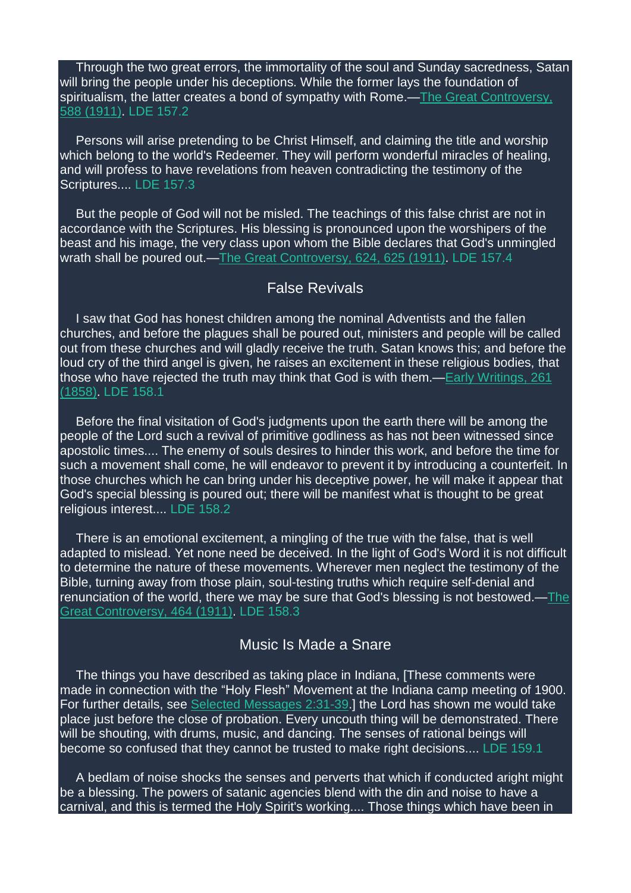Through the two great errors, the immortality of the soul and Sunday sacredness, Satan will bring the people under his deceptions. While the former lays the foundation of spiritualism, the latter creates a bond of sympathy with Rome.—The Great [Controversy,](https://m.egwwritings.org/en/book/132.2659#2659) 588 [\(1911\).](https://m.egwwritings.org/en/book/132.2659#2659) LDE 157.2

Persons will arise pretending to be Christ Himself, and claiming the title and worship which belong to the world's Redeemer. They will perform wonderful miracles of healing, and will profess to have revelations from heaven contradicting the testimony of the Scriptures.... LDE 157.3

But the people of God will not be misled. The teachings of this false christ are not in accordance with the Scriptures. His blessing is pronounced upon the worshipers of the beast and his image, the very class upon whom the Bible declares that God's unmingled wrath shall be poured out.—The Great [Controversy,](https://m.egwwritings.org/en/book/132.2819#2819) 624, 625 (1911). LDE 157.4

### False Revivals

I saw that God has honest children among the nominal Adventists and the fallen churches, and before the plagues shall be poured out, ministers and people will be called out from these churches and will gladly receive the truth. Satan knows this; and before the loud cry of the third angel is given, he raises an excitement in these religious bodies, that those who have rejected the truth may think that God is with them.—Early [Writings,](https://m.egwwritings.org/en/book/28.1283#1283) 261 [\(1858\).](https://m.egwwritings.org/en/book/28.1283#1283) LDE 158.1

Before the final visitation of God's judgments upon the earth there will be among the people of the Lord such a revival of primitive godliness as has not been witnessed since apostolic times.... The enemy of souls desires to hinder this work, and before the time for such a movement shall come, he will endeavor to prevent it by introducing a counterfeit. In those churches which he can bring under his deceptive power, he will make it appear that God's special blessing is poured out; there will be manifest what is thought to be great religious interest.... LDE 158.2

There is an emotional excitement, a mingling of the true with the false, that is well adapted to mislead. Yet none need be deceived. In the light of God's Word it is not difficult to determine the nature of these movements. Wherever men neglect the testimony of the Bible, turning away from those plain, soul-testing truths which require self-denial and renunciation of the world, there we may be sure that God's blessing is not bestowed.[—The](https://m.egwwritings.org/en/book/132.2102#2102) Great [Controversy,](https://m.egwwritings.org/en/book/132.2102#2102) 464 (1911). LDE 158.3

# Music Is Made a Snare

The things you have described as taking place in Indiana, [These comments were made in connection with the "Holy Flesh" Movement at the Indiana camp meeting of 1900. For further details, see Selected [Messages](https://m.egwwritings.org/en/book/99.151#151) 2:31-39.] the Lord has shown me would take place just before the close of probation. Every uncouth thing will be demonstrated. There will be shouting, with drums, music, and dancing. The senses of rational beings will become so confused that they cannot be trusted to make right decisions.... LDE 159.1

A bedlam of noise shocks the senses and perverts that which if conducted aright might be a blessing. The powers of satanic agencies blend with the din and noise to have a carnival, and this is termed the Holy Spirit's working.... Those things which have been in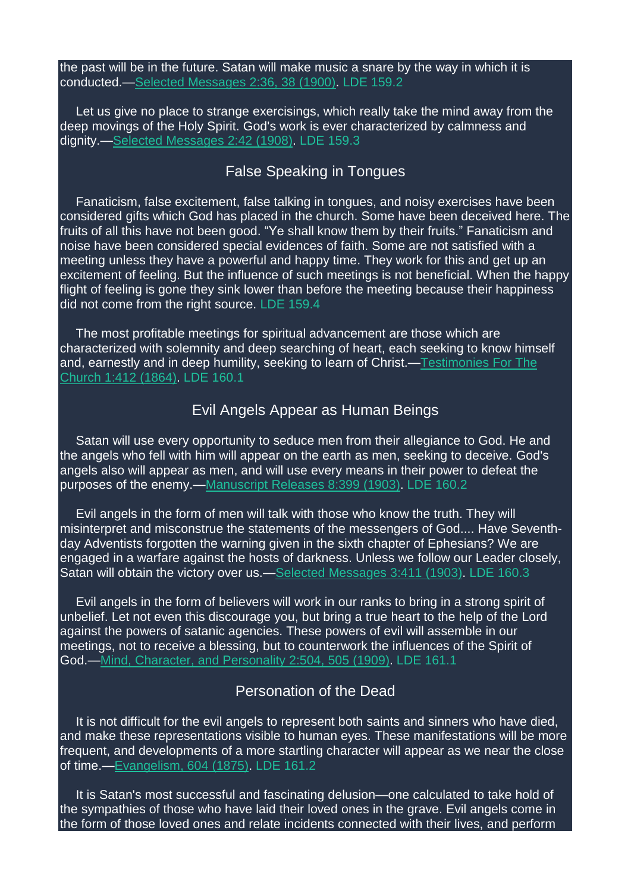the past will be in the future. Satan will make music a snare by the way in which it is conducted.—Selected [Messages](https://m.egwwritings.org/en/book/99.180#180) 2:36, 38 (1900). LDE 159.2

Let us give no place to strange exercisings, which really take the mind away from the deep movings of the Holy Spirit. God's work is ever characterized by calmness and dignity.—Selected [Messages](https://m.egwwritings.org/en/book/99.214#214) 2:42 (1908). LDE 159.3

### False Speaking in Tongues

Fanaticism, false excitement, false talking in tongues, and noisy exercises have been considered gifts which God has placed in the church. Some have been deceived here. The fruits of all this have not been good. "Ye shall know them by their fruits." Fanaticism and noise have been considered special evidences of faith. Some are not satisfied with a meeting unless they have a powerful and happy time. They work for this and get up an excitement of feeling. But the influence of such meetings is not beneficial. When the happy flight of feeling is gone they sink lower than before the meeting because their happiness did not come from the right source. LDE 159.4

The most profitable meetings for spiritual advancement are those which are characterized with solemnity and deep searching of heart, each seeking to know himself and, earnestly and in deep humility, seeking to learn of Christ.[—Testimonies](https://m.egwwritings.org/en/book/116.1954#1954) For The [Church](https://m.egwwritings.org/en/book/116.1954#1954) 1:412 (1864). LDE 160.1

### Evil Angels Appear as Human Beings

Satan will use every opportunity to seduce men from their allegiance to God. He and the angels who fell with him will appear on the earth as men, seeking to deceive. God's angels also will appear as men, and will use every means in their power to defeat the purposes of the enemy.[—Manuscript](https://m.egwwritings.org/en/book/52.1977#1977) Releases 8:399 (1903). LDE 160.2

Evil angels in the form of men will talk with those who know the truth. They will misinterpret and misconstrue the statements of the messengers of God.... Have Seventhday Adventists forgotten the warning given in the sixth chapter of Ephesians? We are engaged in a warfare against the hosts of darkness. Unless we follow our Leader closely, Satan will obtain the victory over us.—Selected [Messages](https://m.egwwritings.org/en/book/100.2485#2485) 3:411 (1903). LDE 160.3

Evil angels in the form of believers will work in our ranks to bring in a strong spirit of unbelief. Let not even this discourage you, but bring a true heart to the help of the Lord against the powers of satanic agencies. These powers of evil will assemble in our meetings, not to receive a blessing, but to counterwork the influences of the Spirit of God.—Mind, Character, and [Personality](https://m.egwwritings.org/en/book/78.692#692) 2:504, 505 (1909). LDE 161.1

#### Personation of the Dead

It is not difficult for the evil angels to represent both saints and sinners who have died, and make these representations visible to human eyes. These manifestations will be more frequent, and developments of a more startling character will appear as we near the close of time.[—Evangelism,](https://m.egwwritings.org/en/book/30.3348#3348) 604 (1875). LDE 161.2

It is Satan's most successful and fascinating delusion—one calculated to take hold of the sympathies of those who have laid their loved ones in the grave. Evil angels come in the form of those loved ones and relate incidents connected with their lives, and perform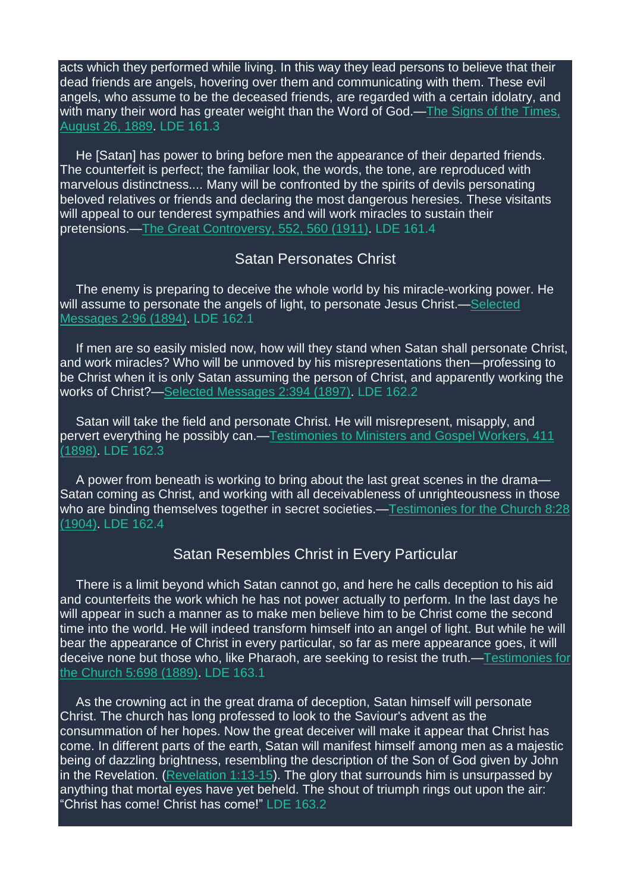acts which they performed while living. In this way they lead persons to believe that their dead friends are angels, hovering over them and communicating with them. These evil angels, who assume to be the deceased friends, are regarded with a certain idolatry, and with many their word has greater weight than the Word of God.—The Signs of the [Times,](https://m.egwwritings.org/en/book/820.9602#9602) [August](https://m.egwwritings.org/en/book/820.9602#9602) 26, 1889. LDE 161.3

He [Satan] has power to bring before men the appearance of their departed friends. The counterfeit is perfect; the familiar look, the words, the tone, are reproduced with marvelous distinctness.... Many will be confronted by the spirits of devils personating beloved relatives or friends and declaring the most dangerous heresies. These visitants will appeal to our tenderest sympathies and will work miracles to sustain their pretensions.—The Great [Controversy,](https://m.egwwritings.org/en/book/132.2500#2500) 552, 560 (1911). LDE 161.4

#### Satan Personates Christ

The enemy is preparing to deceive the whole world by his miracle-working power. He will assume to personate the angels of light, to personate Jesus Christ.[—Selected](https://m.egwwritings.org/en/book/99.543#543) [Messages](https://m.egwwritings.org/en/book/99.543#543) 2:96 (1894). LDE 162.1

If men are so easily misled now, how will they stand when Satan shall personate Christ, and work miracles? Who will be unmoved by his misrepresentations then—professing to be Christ when it is only Satan assuming the person of Christ, and apparently working the works of Christ?—Selected [Messages](https://m.egwwritings.org/en/book/99.2411#2411) 2:394 (1897). LDE 162.2

Satan will take the field and personate Christ. He will misrepresent, misapply, and pervert everything he possibly can.[—Testimonies](https://m.egwwritings.org/en/book/123.2271#2271) to Ministers and Gospel Workers, 411 [\(1898\).](https://m.egwwritings.org/en/book/123.2271#2271) LDE 162.3

A power from beneath is working to bring about the last great scenes in the drama— Satan coming as Christ, and working with all deceivableness of unrighteousness in those who are binding themselves together in secret societies.[—Testimonies](https://m.egwwritings.org/en/book/112.151#151) for the Church 8:28 [\(1904\).](https://m.egwwritings.org/en/book/112.151#151) LDE 162.4

# Satan Resembles Christ in Every Particular

There is a limit beyond which Satan cannot go, and here he calls deception to his aid and counterfeits the work which he has not power actually to perform. In the last days he will appear in such a manner as to make men believe him to be Christ come the second time into the world. He will indeed transform himself into an angel of light. But while he will bear the appearance of Christ in every particular, so far as mere appearance goes, it will deceive none but those who, like Pharaoh, are seeking to resist the truth.[—Testimonies](https://m.egwwritings.org/en/book/113.3397#3397) for the [Church](https://m.egwwritings.org/en/book/113.3397#3397) 5:698 (1889). LDE 163.1

As the crowning act in the great drama of deception, Satan himself will personate Christ. The church has long professed to look to the Saviour's advent as the consummation of her hopes. Now the great deceiver will make it appear that Christ has come. In different parts of the earth, Satan will manifest himself among men as a majestic being of dazzling brightness, resembling the description of the Son of God given by John in the Revelation. [\(Revelation](https://m.egwwritings.org/en/book/1965.62657#62657) 1:13-15). The glory that surrounds him is unsurpassed by anything that mortal eyes have yet beheld. The shout of triumph rings out upon the air: "Christ has come! Christ has come!" LDE 163.2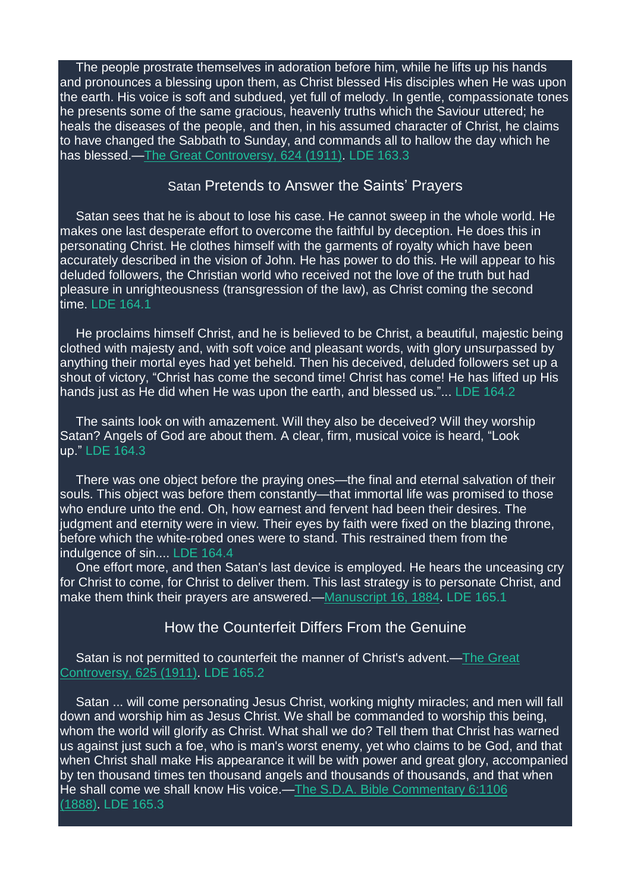The people prostrate themselves in adoration before him, while he lifts up his hands and pronounces a blessing upon them, as Christ blessed His disciples when He was upon the earth. His voice is soft and subdued, yet full of melody. In gentle, compassionate tones he presents some of the same gracious, heavenly truths which the Saviour uttered; he heals the diseases of the people, and then, in his assumed character of Christ, he claims to have changed the Sabbath to Sunday, and commands all to hallow the day which he has blessed.—The Great [Controversy,](https://m.egwwritings.org/en/book/132.2819#2819) 624 (1911). LDE 163.3

#### Satan Pretends to Answer the Saints' Prayers

Satan sees that he is about to lose his case. He cannot sweep in the whole world. He makes one last desperate effort to overcome the faithful by deception. He does this in personating Christ. He clothes himself with the garments of royalty which have been accurately described in the vision of John. He has power to do this. He will appear to his deluded followers, the Christian world who received not the love of the truth but had pleasure in unrighteousness (transgression of the law), as Christ coming the second time. LDE 164.1

He proclaims himself Christ, and he is believed to be Christ, a beautiful, majestic being clothed with majesty and, with soft voice and pleasant words, with glory unsurpassed by anything their mortal eyes had yet beheld. Then his deceived, deluded followers set up a shout of victory, "Christ has come the second time! Christ has come! He has lifted up His hands just as He did when He was upon the earth, and blessed us."... LDE 164.2

The saints look on with amazement. Will they also be deceived? Will they worship Satan? Angels of God are about them. A clear, firm, musical voice is heard, "Look up." LDE 164.3

There was one object before the praying ones—the final and eternal salvation of their souls. This object was before them constantly—that immortal life was promised to those who endure unto the end. Oh, how earnest and fervent had been their desires. The judgment and eternity were in view. Their eyes by faith were fixed on the blazing throne, before which the white-robed ones were to stand. This restrained them from the indulgence of sin.... LDE 164.4

One effort more, and then Satan's last device is employed. He hears the unceasing cry for Christ to come, for Christ to deliver them. This last strategy is to personate Christ, and make them think their prayers are answered.[—Manuscript](https://m.egwwritings.org/en/book/14054.4539001#4539001) 16, 1884. LDE 165.1

# How the Counterfeit Differs From the Genuine

Satan is not permitted to counterfeit the manner of Christ's advent.—The [Great](https://m.egwwritings.org/en/book/132.2823#2823) [Controversy,](https://m.egwwritings.org/en/book/132.2823#2823) 625 (1911). LDE 165.2

Satan ... will come personating Jesus Christ, working mighty miracles; and men will fall down and worship him as Jesus Christ. We shall be commanded to worship this being, whom the world will glorify as Christ. What shall we do? Tell them that Christ has warned us against just such a foe, who is man's worst enemy, yet who claims to be God, and that when Christ shall make His appearance it will be with power and great glory, accompanied by ten thousand times ten thousand angels and thousands of thousands, and that when He shall come we shall know His voice.—The S.D.A. Bible [Commentary](https://m.egwwritings.org/en/book/95.668#668) 6:1106 [\(1888\).](https://m.egwwritings.org/en/book/95.668#668) LDE 165.3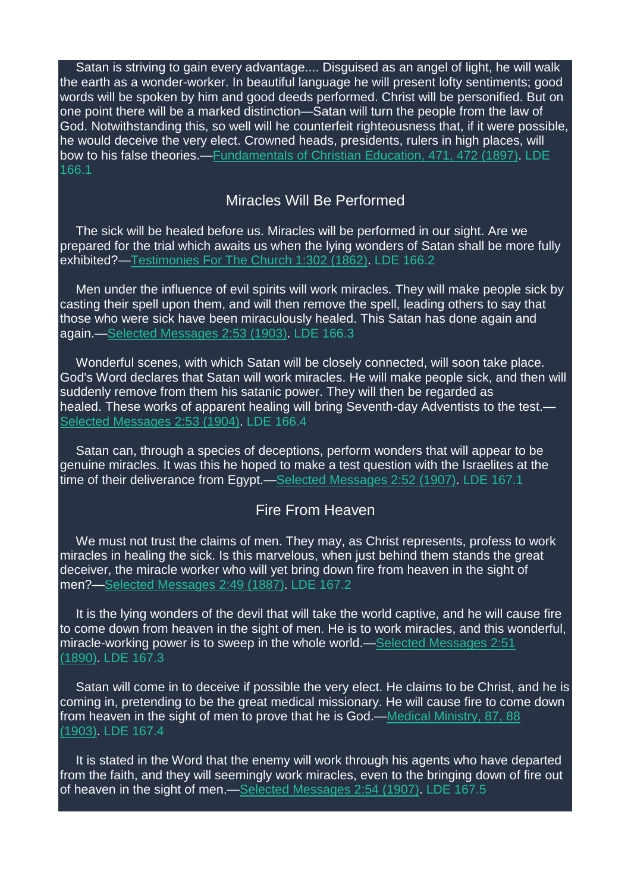Satan is striving to gain every advantage.... Disguised as an angel of light, he will walk the earth as a wonder-worker. In beautiful language he will present lofty sentiments; good words will be spoken by him and good deeds performed. Christ will be personified. But on one point there will be a marked distinction—Satan will turn the people from the law of God. Notwithstanding this, so well will he counterfeit righteousness that, if it were possible, he would deceive the very elect. Crowned heads, presidents, rulers in high places, will bow to his false theories.[—Fundamentals](https://m.egwwritings.org/en/book/32.1897#1897) of Christian Education, 471, 472 (1897). LDE 166.1

#### Miracles Will Be Performed

The sick will be healed before us. Miracles will be performed in our sight. Are we prepared for the trial which awaits us when the lying wonders of Satan shall be more fully exhibited?-Testimonies For The Church 1:302 (1862). LDE 166.2

Men under the influence of evil spirits will work miracles. They will make people sick by casting their spell upon them, and will then remove the spell, leading others to say that those who were sick have been miraculously healed. This Satan has done again and again.—Selected [Messages](https://m.egwwritings.org/en/book/99.287#287) 2:53 (1903). LDE 166.3

Wonderful scenes, with which Satan will be closely connected, will soon take place. God's Word declares that Satan will work miracles. He will make people sick, and then will suddenly remove from them his satanic power. They will then be regarded as healed. These works of apparent healing will bring Seventh-day Adventists to the test.— Selected [Messages](https://m.egwwritings.org/en/book/99.287#287) 2:53 (1904). LDE 166.4

Satan can, through a species of deceptions, perform wonders that will appear to be genuine miracles. It was this he hoped to make a test question with the Israelites at the time of their deliverance from Egypt.—Selected [Messages](https://m.egwwritings.org/en/book/99.280#280) 2:52 (1907). LDE 167.1

### Fire From Heaven

We must not trust the claims of men. They may, as Christ represents, profess to work miracles in healing the sick. Is this marvelous, when just behind them stands the great deceiver, the miracle worker who will yet bring down fire from heaven in the sight of men?—Selected [Messages](https://m.egwwritings.org/en/book/99.259#259) 2:49 (1887). LDE 167.2

It is the lying wonders of the devil that will take the world captive, and he will cause fire to come down from heaven in the sight of men. He is to work miracles, and this wonderful, miracle-working power is to sweep in the whole world.—Selected [Messages](https://m.egwwritings.org/en/book/99.273#273) 2:51 [\(1890\).](https://m.egwwritings.org/en/book/99.273#273) LDE 167.3

Satan will come in to deceive if possible the very elect. He claims to be Christ, and he is coming in, pretending to be the great medical missionary. He will cause fire to come down from heaven in the sight of men to prove that he is God.—Medical [Ministry,](https://m.egwwritings.org/en/book/75.697#697) 87, 88 [\(1903\).](https://m.egwwritings.org/en/book/75.697#697) LDE 167.4

It is stated in the Word that the enemy will work through his agents who have departed from the faith, and they will seemingly work miracles, even to the bringing down of fire out of heaven in the sight of men.—Selected [Messages](https://m.egwwritings.org/en/book/99.295#295) 2:54 (1907). LDE 167.5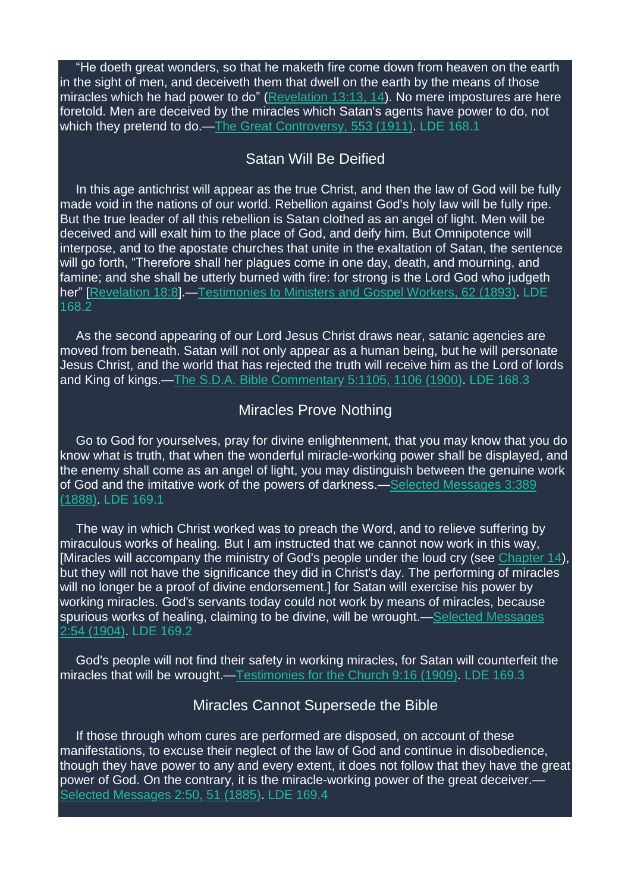"He doeth great wonders, so that he maketh fire come down from heaven on the earth in the sight of men, and deceiveth them that dwell on the earth by the means of those miracles which he had power to do" [\(Revelation](https://m.egwwritings.org/en/book/1965.63091#63091) 13:13, 14). No mere impostures are here foretold. Men are deceived by the miracles which Satan's agents have power to do, not which they pretend to do.—The Great [Controversy,](https://m.egwwritings.org/en/book/132.2504#2504) 553 (1911). LDE 168.1

# Satan Will Be Deified

In this age antichrist will appear as the true Christ, and then the law of God will be fully made void in the nations of our world. Rebellion against God's holy law will be fully ripe. But the true leader of all this rebellion is Satan clothed as an angel of light. Men will be deceived and will exalt him to the place of God, and deify him. But Omnipotence will interpose, and to the apostate churches that unite in the exaltation of Satan, the sentence will go forth, "Therefore shall her plagues come in one day, death, and mourning, and famine; and she shall be utterly burned with fire: for strong is the Lord God who judgeth her" [\[Revelation](https://m.egwwritings.org/en/book/1965.63256#63256) 18:8].[—Testimonies](https://m.egwwritings.org/en/book/123.406#406) to Ministers and Gospel Workers, 62 (1893). LDE 168.2

As the second appearing of our Lord Jesus Christ draws near, satanic agencies are moved from beneath. Satan will not only appear as a human being, but he will personate Jesus Christ, and the world that has rejected the truth will receive him as the Lord of lords and King of kings.—The S.D.A. Bible [Commentary](https://m.egwwritings.org/en/book/94.301#301) 5:1105, 1106 (1900). LDE 168.3

### Miracles Prove Nothing

Go to God for yourselves, pray for divine enlightenment, that you may know that you do know what is truth, that when the wonderful miracle-working power shall be displayed, and the enemy shall come as an angel of light, you may distinguish between the genuine work of God and the imitative work of the powers of darkness.—Selected [Messages](https://m.egwwritings.org/en/book/100.2335#2335) 3:389 [\(1888\).](https://m.egwwritings.org/en/book/100.2335#2335) LDE 169.1

The way in which Christ worked was to preach the Word, and to relieve suffering by miraculous works of healing. But I am instructed that we cannot now work in this way, [Miracles will accompany the ministry of God's people under the loud cry (see [Chapter](https://m.egwwritings.org/en/book/39.1264#1264) 14), but they will not have the significance they did in Christ's day. The performing of miracles will no longer be a proof of divine endorsement.] for Satan will exercise his power by working miracles. God's servants today could not work by means of miracles, because spurious works of healing, claiming to be divine, will be wrought.—Selected [Messages](https://m.egwwritings.org/en/book/99.295#295) 2:54 [\(1904\).](https://m.egwwritings.org/en/book/99.295#295) LDE 169.2

God's people will not find their safety in working miracles, for Satan will counterfeit the miracles that will be wrought.[—Testimonies](https://m.egwwritings.org/en/book/115.80#80) for the Church 9:16 (1909). LDE 169.3

#### Miracles Cannot Supersede the Bible

If those through whom cures are performed are disposed, on account of these manifestations, to excuse their neglect of the law of God and continue in disobedience, though they have power to any and every extent, it does not follow that they have the great power of God. On the contrary, it is the miracle-working power of the great deceiver.— Selected [Messages](https://m.egwwritings.org/en/book/99.267#267) 2:50, 51 (1885). LDE 169.4